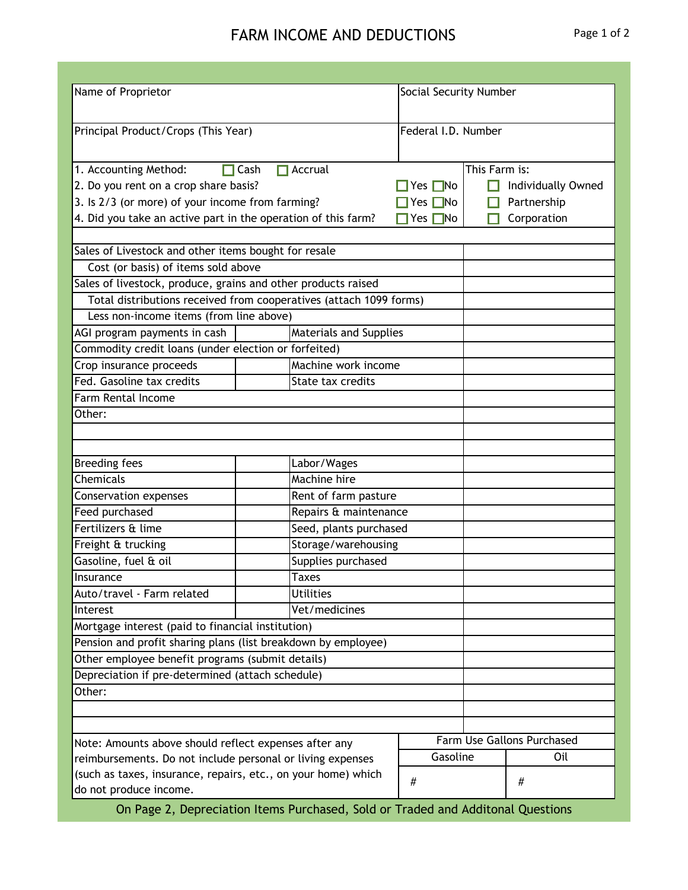## FARM INCOME AND DEDUCTIONS Page 1 of 2

| Name of Proprietor                                                 |                               | Social Security Number |                    |                            |  |  |  |  |
|--------------------------------------------------------------------|-------------------------------|------------------------|--------------------|----------------------------|--|--|--|--|
|                                                                    |                               |                        |                    |                            |  |  |  |  |
| Principal Product/Crops (This Year)                                | Federal I.D. Number           |                        |                    |                            |  |  |  |  |
|                                                                    |                               |                        |                    |                            |  |  |  |  |
|                                                                    | $\Box$ Accrual                |                        |                    |                            |  |  |  |  |
| 1. Accounting Method:<br>$\Box$ Cash                               |                               | This Farm is:          |                    |                            |  |  |  |  |
| 2. Do you rent on a crop share basis?                              | Yes ΠNo                       |                        | Individually Owned |                            |  |  |  |  |
| 3. Is 2/3 (or more) of your income from farming?                   | Yes □No                       |                        | Partnership        |                            |  |  |  |  |
| 4. Did you take an active part in the operation of this farm?      | Yes <b>□</b> No               |                        | Corporation        |                            |  |  |  |  |
|                                                                    |                               |                        |                    |                            |  |  |  |  |
| Sales of Livestock and other items bought for resale               |                               |                        |                    |                            |  |  |  |  |
| Cost (or basis) of items sold above                                |                               |                        |                    |                            |  |  |  |  |
| Sales of livestock, produce, grains and other products raised      |                               |                        |                    |                            |  |  |  |  |
| Total distributions received from cooperatives (attach 1099 forms) |                               |                        |                    |                            |  |  |  |  |
| Less non-income items (from line above)                            |                               |                        |                    |                            |  |  |  |  |
| AGI program payments in cash                                       | <b>Materials and Supplies</b> |                        |                    |                            |  |  |  |  |
| Commodity credit loans (under election or forfeited)               |                               |                        |                    |                            |  |  |  |  |
| Crop insurance proceeds                                            |                               | Machine work income    |                    |                            |  |  |  |  |
| Fed. Gasoline tax credits                                          | State tax credits             |                        |                    |                            |  |  |  |  |
| <b>Farm Rental Income</b>                                          |                               |                        |                    |                            |  |  |  |  |
| Other:                                                             |                               |                        |                    |                            |  |  |  |  |
|                                                                    |                               |                        |                    |                            |  |  |  |  |
|                                                                    |                               |                        |                    |                            |  |  |  |  |
| <b>Breeding fees</b>                                               | Labor/Wages                   |                        |                    |                            |  |  |  |  |
| <b>Chemicals</b>                                                   | <b>Machine hire</b>           |                        |                    |                            |  |  |  |  |
| <b>Conservation expenses</b>                                       |                               | Rent of farm pasture   |                    |                            |  |  |  |  |
| Feed purchased                                                     | Repairs & maintenance         |                        |                    |                            |  |  |  |  |
| Fertilizers & lime                                                 |                               | Seed, plants purchased |                    |                            |  |  |  |  |
| Freight & trucking                                                 |                               | Storage/warehousing    |                    |                            |  |  |  |  |
| Gasoline, fuel & oil                                               | Supplies purchased            |                        |                    |                            |  |  |  |  |
| Insurance                                                          | <b>Taxes</b>                  |                        |                    |                            |  |  |  |  |
| Auto/travel - Farm related                                         | <b>Utilities</b>              |                        |                    |                            |  |  |  |  |
| Interest                                                           | Vet/medicines                 |                        |                    |                            |  |  |  |  |
| Mortgage interest (paid to financial institution)                  |                               |                        |                    |                            |  |  |  |  |
| Pension and profit sharing plans (list breakdown by employee)      |                               |                        |                    |                            |  |  |  |  |
| Other employee benefit programs (submit details)                   |                               |                        |                    |                            |  |  |  |  |
| Depreciation if pre-determined (attach schedule)                   |                               |                        |                    |                            |  |  |  |  |
| Other:                                                             |                               |                        |                    |                            |  |  |  |  |
|                                                                    |                               |                        |                    |                            |  |  |  |  |
|                                                                    |                               |                        |                    |                            |  |  |  |  |
| Note: Amounts above should reflect expenses after any              |                               |                        |                    | Farm Use Gallons Purchased |  |  |  |  |
| reimbursements. Do not include personal or living expenses         | Gasoline                      |                        | Oil                |                            |  |  |  |  |
| (such as taxes, insurance, repairs, etc., on your home) which      |                               |                        |                    |                            |  |  |  |  |
| $\#$<br>do not produce income.                                     |                               |                        |                    | #                          |  |  |  |  |
|                                                                    |                               |                        |                    |                            |  |  |  |  |

On Page 2, Depreciation Items Purchased, Sold or Traded and Additonal Questions